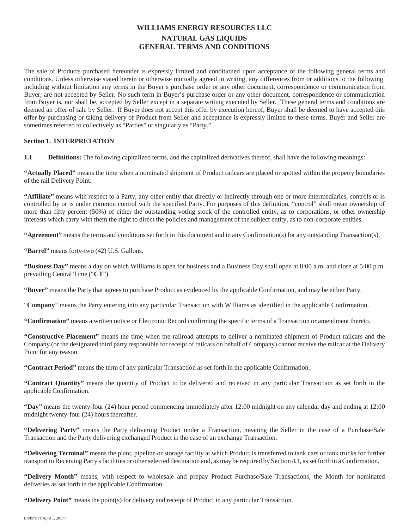# **WILLIAMS ENERGY RESOURCES LLC NATURAL GAS LIQUIDS GENERAL TERMS AND CONDITIONS**

The sale of Products purchased hereunder is expressly limited and conditioned upon acceptance of the following general terms and conditions. Unless otherwise stated herein or otherwise mutually agreed in writing, any differences from or additions to the following, including without limitation any terms in the Buyer's purchase order or any other document, correspondence or communication from Buyer, are not accepted by Seller. No such term in Buyer's purchase order or any other document, correspondence or communication from Buyer is, nor shall be, accepted by Seller except in a separate writing executed by Seller. These general terms and conditions are deemed an offer of sale by Seller. If Buyer does not accept this offer by execution hereof, Buyer shall be deemed to have accepted this offer by purchasing or taking delivery of Product from Seller and acceptance is expressly limited to these terms. Buyer and Seller are sometimes referred to collectively as "Parties" or singularly as "Party."

# **Section 1. INTERPRETATION**

**1.1 Definitions:** The following capitalized terms, and the capitalized derivatives thereof, shall have the following meanings:

**"Actually Placed"** means the time when a nominated shipment of Product railcars are placed or spotted within the property boundaries of the rail Delivery Point.

**"Affiliate"** means with respect to a Party, any other entity that directly or indirectly through one or more intermediaries, controls or is controlled by or is under common control with the specified Party. For purposes of this definition, "control" shall mean ownership of more than fifty percent (50%) of either the outstanding voting stock of the controlled entity, as to corporations, or other ownership interests which carry with them the right to direct the policies and management of the subject entity, as to non-corporate entities.

**"Agreement"** means the terms and conditions set forth in this document and in any Confirmation(s) for any outstanding Transaction(s).

**"Barrel"** means forty-two (42) U.S. Gallons.

**"Business Day"** means a day on which Williams is open for business and a Business Day shall open at 8:00 a.m. and close at 5:00 p.m. prevailing Central Time ("**CT**").

**"Buyer"** means the Party that agrees to purchase Product as evidenced by the applicable Confirmation, and may be either Party.

"**Company**" means the Party entering into any particular Transaction with Williams as identified in the applicable Confirmation.

**"Confirmation"** means a written notice or Electronic Record confirming the specific terms of a Transaction or amendment thereto.

**"Constructive Placement"** means the time when the railroad attempts to deliver a nominated shipment of Product railcars and the Company (or the designated third party responsible for receipt of railcars on behalf of Company) cannot receive the railcar at the Delivery Point for any reason.

**"Contract Period"** means the term of any particular Transaction as set forth in the applicable Confirmation.

**"Contract Quantity"** means the quantity of Product to be delivered and received in any particular Transaction as set forth in the applicable Confirmation.

**"Day"** means the twenty-four (24) hour period commencing immediately after 12:00 midnight on any calendar day and ending at 12:00 midnight twenty-four (24) hours thereafter.

**"Delivering Party"** means the Party delivering Product under a Transaction, meaning the Seller in the case of a Purchase/Sale Transaction and the Party delivering exchanged Product in the case of an exchange Transaction.

**"Delivering Terminal"** means the plant, pipeline or storage facility at which Product is transferred to tank cars or tank trucks for further transport to Receiving Party's facilities or other selected destination and, as may be required by Section 4.1, as set forth in a Confirmation.

**"Delivery Month"** means, with respect to wholesale and prepay Product Purchase/Sale Transactions, the Month for nominated deliveries as set forth in the applicable Confirmation.

**"Delivery Point"** means the point(s) for delivery and receipt of Product in any particular Transaction.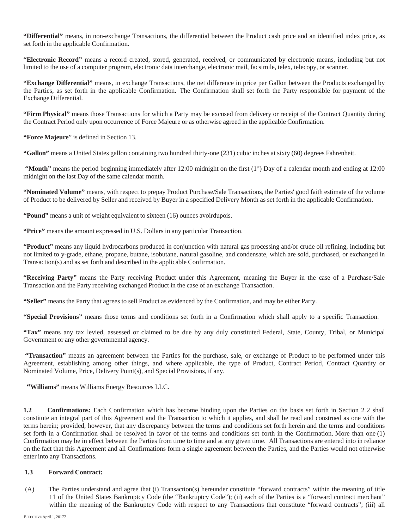**"Differential"** means, in non-exchange Transactions, the differential between the Product cash price and an identified index price, as set forth in the applicable Confirmation.

**"Electronic Record"** means a record created, stored, generated, received, or communicated by electronic means, including but not limited to the use of a computer program, electronic data interchange, electronic mail, facsimile, telex, telecopy, or scanner.

**"Exchange Differential"** means, in exchange Transactions, the net difference in price per Gallon between the Products exchanged by the Parties, as set forth in the applicable Confirmation. The Confirmation shall set forth the Party responsible for payment of the Exchange Differential.

**"Firm Physical"** means those Transactions for which a Party may be excused from delivery or receipt of the Contract Quantity during the Contract Period only upon occurrence of Force Majeure or as otherwise agreed in the applicable Confirmation.

**"Force Majeure**" is defined in Section 13.

**"Gallon"** means a United States gallon containing two hundred thirty-one (231) cubic inches at sixty (60) degrees Fahrenheit.

**"Month"** means the period beginning immediately after 12:00 midnight on the first (1<sup>st</sup>) Day of a calendar month and ending at 12:00 midnight on the last Day of the same calendar month.

**"Nominated Volume"** means, with respect to prepay Product Purchase/Sale Transactions, the Parties' good faith estimate of the volume of Product to be delivered by Seller and received by Buyer in a specified Delivery Month as set forth in the applicable Confirmation.

**"Pound"** means a unit of weight equivalent to sixteen (16) ounces avoirdupois.

**"Price"** means the amount expressed in U.S. Dollars in any particular Transaction.

**"Product"** means any liquid hydrocarbons produced in conjunction with natural gas processing and/or crude oil refining, including but not limited to y-grade, ethane, propane, butane, isobutane, natural gasoline, and condensate, which are sold, purchased, or exchanged in Transaction(s) and as set forth and described in the applicable Confirmation.

**"Receiving Party"** means the Party receiving Product under this Agreement, meaning the Buyer in the case of a Purchase/Sale Transaction and the Party receiving exchanged Product in the case of an exchange Transaction.

**"Seller"** means the Party that agrees to sell Product as evidenced by the Confirmation, and may be either Party.

**"Special Provisions"** means those terms and conditions set forth in a Confirmation which shall apply to a specific Transaction.

**"Tax"** means any tax levied, assessed or claimed to be due by any duly constituted Federal, State, County, Tribal, or Municipal Government or any other governmental agency.

**"Transaction"** means an agreement between the Parties for the purchase, sale, or exchange of Product to be performed under this Agreement, establishing among other things, and where applicable, the type of Product, Contract Period, Contract Quantity or Nominated Volume, Price, Delivery Point(s), and Special Provisions, if any.

**"Williams"** means Williams Energy Resources LLC.

**1.2 Confirmations:** Each Confirmation which has become binding upon the Parties on the basis set forth in Section 2.2 shall constitute an integral part of this Agreement and the Transaction to which it applies, and shall be read and construed as one with the terms herein; provided, however, that any discrepancy between the terms and conditions set forth herein and the terms and conditions set forth in a Confirmation shall be resolved in favor of the terms and conditions set forth in the Confirmation. More than one (1) Confirmation may be in effect between the Parties from time to time and at any given time. All Transactions are entered into in reliance on the fact that this Agreement and all Confirmations form a single agreement between the Parties, and the Parties would not otherwise enter into any Transactions.

# **1.3 Forward Contract:**

(A) The Parties understand and agree that (i) Transaction(s) hereunder constitute "forward contracts" within the meaning of title 11 of the United States Bankruptcy Code (the "Bankruptcy Code"); (ii) each of the Parties is a "forward contract merchant" within the meaning of the Bankruptcy Code with respect to any Transactions that constitute "forward contracts"; (iii) all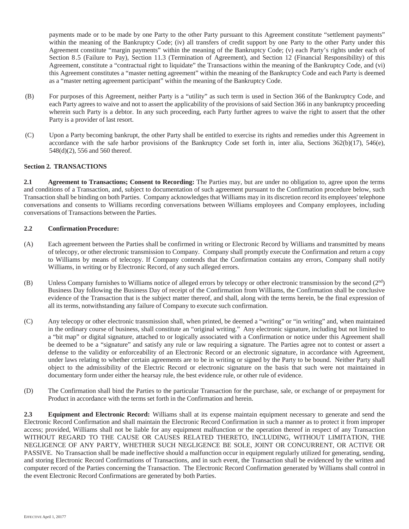payments made or to be made by one Party to the other Party pursuant to this Agreement constitute "settlement payments" within the meaning of the Bankruptcy Code; (iv) all transfers of credit support by one Party to the other Party under this Agreement constitute "margin payments" within the meaning of the Bankruptcy Code; (v) each Party's rights under each of Section 8.5 (Failure to Pay), Section 11.3 (Termination of Agreement), and Section 12 (Financial Responsibility) of this Agreement, constitute a "contractual right to liquidate" the Transactions within the meaning of the Bankruptcy Code, and (vi) this Agreement constitutes a "master netting agreement" within the meaning of the Bankruptcy Code and each Party is deemed as a "master netting agreement participant" within the meaning of the Bankruptcy Code.

- (B) For purposes of this Agreement, neither Party is a "utility" as such term is used in Section 366 of the Bankruptcy Code, and each Party agrees to waive and not to assert the applicability of the provisions of said Section 366 in any bankruptcy proceeding wherein such Party is a debtor. In any such proceeding, each Party further agrees to waive the right to assert that the other Party is a provider of last resort.
- (C) Upon a Party becoming bankrupt, the other Party shall be entitled to exercise its rights and remedies under this Agreement in accordance with the safe harbor provisions of the Bankruptcy Code set forth in, inter alia, Sections 362(b)(17), 546(e), 548(d)(2), 556 and 560 thereof.

# **Section 2. TRANSACTIONS**

**2.1 Agreement to Transactions; Consent to Recording:** The Parties may, but are under no obligation to, agree upon the terms and conditions of a Transaction, and, subject to documentation of such agreement pursuant to the Confirmation procedure below, such Transaction shall be binding on both Parties. Company acknowledges that Williams may in its discretion record its employees' telephone conversations and consents to Williams recording conversations between Williams employees and Company employees, including conversations of Transactions between the Parties.

# **2.2 Confirmation Procedure:**

- (A) Each agreement between the Parties shall be confirmed in writing or Electronic Record by Williams and transmitted by means of telecopy, or other electronic transmission to Company. Company shall promptly execute the Confirmation and return a copy to Williams by means of telecopy. If Company contends that the Confirmation contains any errors, Company shall notify Williams, in writing or by Electronic Record, of any such alleged errors.
- (B) Unless Company furnishes to Williams notice of alleged errors by telecopy or other electronic transmission by the second (2<sup>nd</sup>) Business Day following the Business Day of receipt of the Confirmation from Williams, the Confirmation shall be conclusive evidence of the Transaction that is the subject matter thereof, and shall, along with the terms herein, be the final expression of all its terms, notwithstanding any failure of Company to execute such confirmation.
- (C) Any telecopy or other electronic transmission shall, when printed, be deemed a "writing" or "in writing" and, when maintained in the ordinary course of business, shall constitute an "original writing." Any electronic signature, including but not limited to a "bit map" or digital signature, attached to or logically associated with a Confirmation or notice under this Agreement shall be deemed to be a "signature" and satisfy any rule or law requiring a signature. The Parties agree not to contest or assert a defense to the validity or enforceability of an Electronic Record or an electronic signature, in accordance with Agreement, under laws relating to whether certain agreements are to be in writing or signed by the Party to be bound. Neither Party shall object to the admissibility of the Electric Record or electronic signature on the basis that such were not maintained in documentary form under either the hearsay rule, the best evidence rule, or other rule of evidence.
- (D) The Confirmation shall bind the Parties to the particular Transaction for the purchase, sale, or exchange of or prepayment for Product in accordance with the terms set forth in the Confirmation and herein.

**2.3 Equipment and Electronic Record:** Williams shall at its expense maintain equipment necessary to generate and send the Electronic Record Confirmation and shall maintain the Electronic Record Confirmation in such a manner as to protect it from improper access; provided, Williams shall not be liable for any equipment malfunction or the operation thereof in respect of any Transaction WITHOUT REGARD TO THE CAUSE OR CAUSES RELATED THERETO, INCLUDING, WITHOUT LIMITATION, THE NEGLIGENCE OF ANY PARTY, WHETHER SUCH NEGLIGENCE BE SOLE, JOINT OR CONCURRENT, OR ACTIVE OR PASSIVE. No Transaction shall be made ineffective should a malfunction occur in equipment regularly utilized for generating, sending, and storing Electronic Record Confirmations of Transactions, and in such event, the Transaction shall be evidenced by the written and computer record of the Parties concerning the Transaction. The Electronic Record Confirmation generated by Williams shall control in the event Electronic Record Confirmations are generated by both Parties.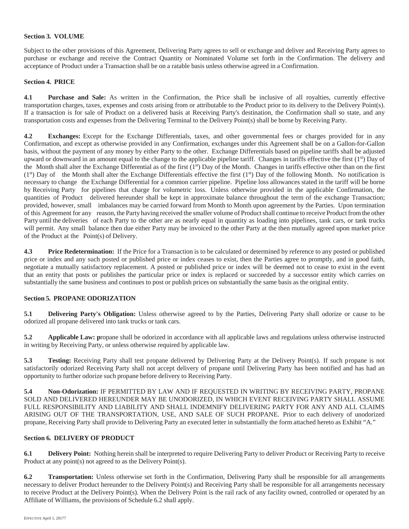# **Section 3. VOLUME**

Subject to the other provisions of this Agreement, Delivering Party agrees to sell or exchange and deliver and Receiving Party agrees to purchase or exchange and receive the Contract Quantity or Nominated Volume set forth in the Confirmation. The delivery and acceptance of Product under a Transaction shall be on a ratable basis unless otherwise agreed in a Confirmation.

#### **Section 4. PRICE**

**4.1 Purchase and Sale:** As written in the Confirmation, the Price shall be inclusive of all royalties, currently effective transportation charges, taxes, expenses and costs arising from or attributable to the Product prior to its delivery to the Delivery Point(s). If a transaction is for sale of Product on a delivered basis at Receiving Party's destination, the Confirmation shall so state, and any transportation costs and expenses from the Delivering Terminal to the Delivery Point(s) shall be borne by Receiving Party.

**4.2 Exchanges:** Except for the Exchange Differentials, taxes, and other governmental fees or charges provided for in any Confirmation, and except as otherwise provided in any Confirmation, exchanges under this Agreement shall be on a Gallon-for-Gallon basis, without the payment of any money by either Party to the other. Exchange Differentials based on pipeline tariffs shall be adjusted upward or downward in an amount equal to the change to the applicable pipeline tariff. Changes in tariffs effective the first (1st) Day of the Month shall alter the Exchange Differential as of the first  $(1<sup>st</sup>)$  Day of the Month. Changes in tariffs effective other than on the first  $(1<sup>st</sup>)$  Day of the Month shall alter the Exchange Differentials effective the first  $(1<sup>st</sup>)$  Day of the following Month. No notification is necessary to change the Exchange Differential for a common carrier pipeline. Pipeline loss allowances stated in the tariff will be borne by Receiving Party for pipelines that charge for volumetric loss. Unless otherwise provided in the applicable Confirmation, the quantities of Product delivered hereunder shall be kept in approximate balance throughout the term of the exchange Transaction; provided, however, small imbalances may be carried forward from Month to Month upon agreement by the Parties. Upon termination of this Agreement for any reason, the Party having received the smaller volume of Product shall continue to receive Product from the other Party until the deliveries of each Party to the other are as nearly equal in quantity as loading into pipelines, tank cars, or tank trucks will permit. Any small balance then due either Party may be invoiced to the other Party at the then mutually agreed upon market price of the Product at the Point(s) of Delivery.

**4.3 Price Redetermination:** If the Price for a Transaction is to be calculated or determined by reference to any posted or published price or index and any such posted or published price or index ceases to exist, then the Parties agree to promptly, and in good faith, negotiate a mutually satisfactory replacement. A posted or published price or index will be deemed not to cease to exist in the event that an entity that posts or publishes the particular price or index is replaced or succeeded by a successor entity which carries on substantially the same business and continues to post or publish prices on substantially the same basis as the original entity.

# **Section 5. PROPANE ODORIZATION**

**5.1 Delivering Party's Obligation:** Unless otherwise agreed to by the Parties, Delivering Party shall odorize or cause to be odorized all propane delivered into tank trucks or tank cars.

**5.2 Applicable Law:** propane shall be odorized in accordance with all applicable laws and regulations unless otherwise instructed in writing by Receiving Party, or unless otherwise required by applicable law.

**5.3 Testing:** Receiving Party shall test propane delivered by Delivering Party at the Delivery Point(s). If such propane is not satisfactorily odorized Receiving Party shall not accept delivery of propane until Delivering Party has been notified and has had an opportunity to further odorize such propane before delivery to Receiving Party.

**5.4 Non-Odorization:** IF PERMITTED BY LAW AND IF REQUESTED IN WRITING BY RECEIVING PARTY, PROPANE SOLD AND DELIVERED HEREUNDER MAY BE UNODORIZED, IN WHICH EVENT RECEIVING PARTY SHALL ASSUME FULL RESPONSIBILITY AND LIABILITY AND SHALL INDEMNIFY DELIVERING PARTY FOR ANY AND ALL CLAIMS ARISING OUT OF THE TRANSPORTATION, USE, AND SALE OF SUCH PROPANE. Prior to each delivery of unodorized propane, Receiving Party shall provide to Delivering Party an executed letter in substantially the form attached hereto as Exhibit "A."

#### **Section 6. DELIVERY OF PRODUCT**

**6.1 Delivery Point:** Nothing herein shall be interpreted to require Delivering Party to deliver Product or Receiving Party to receive Product at any point(s) not agreed to as the Delivery Point(s).

**6.2 Transportation:** Unless otherwise set forth in the Confirmation, Delivering Party shall be responsible for all arrangements necessary to deliver Product hereunder to the Delivery Point(s) and Receiving Party shall be responsible for all arrangements necessary to receive Product at the Delivery Point(s). When the Delivery Point is the rail rack of any facility owned, controlled or operated by an Affiliate of Williams, the provisions of Schedule 6.2 shall apply.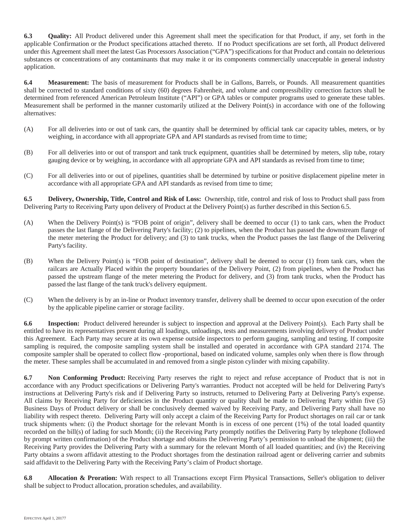**6.3 Quality:** All Product delivered under this Agreement shall meet the specification for that Product, if any, set forth in the applicable Confirmation or the Product specifications attached thereto. If no Product specifications are set forth, all Product delivered under this Agreement shall meet the latest Gas Processors Association ("GPA") specifications for that Product and contain no deleterious substances or concentrations of any contaminants that may make it or its components commercially unacceptable in general industry application.

**6.4 Measurement:** The basis of measurement for Products shall be in Gallons, Barrels, or Pounds. All measurement quantities shall be corrected to standard conditions of sixty (60) degrees Fahrenheit, and volume and compressibility correction factors shall be determined from referenced American Petroleum Institute ("API") or GPA tables or computer programs used to generate these tables. Measurement shall be performed in the manner customarily utilized at the Delivery Point(s) in accordance with one of the following alternatives:

- (A) For all deliveries into or out of tank cars, the quantity shall be determined by official tank car capacity tables, meters, or by weighing, in accordance with all appropriate GPA and API standards as revised from time to time;
- (B) For all deliveries into or out of transport and tank truck equipment, quantities shall be determined by meters, slip tube, rotary gauging device or by weighing, in accordance with all appropriate GPA and API standards as revised from time to time;
- (C) For all deliveries into or out of pipelines, quantities shall be determined by turbine or positive displacement pipeline meter in accordance with all appropriate GPA and API standards as revised from time to time;

**6.5 Delivery, Ownership, Title, Control and Risk of Loss:** Ownership, title, control and risk of loss to Product shall pass from Delivering Party to Receiving Party upon delivery of Product at the Delivery Point(s) as further described in this Section 6.5.

- (A) When the Delivery Point(s) is "FOB point of origin", delivery shall be deemed to occur (1) to tank cars, when the Product passes the last flange of the Delivering Party's facility; (2) to pipelines, when the Product has passed the downstream flange of the meter metering the Product for delivery; and (3) to tank trucks, when the Product passes the last flange of the Delivering Party's facility.
- (B) When the Delivery Point(s) is "FOB point of destination", delivery shall be deemed to occur (1) from tank cars, when the railcars are Actually Placed within the property boundaries of the Delivery Point, (2) from pipelines, when the Product has passed the upstream flange of the meter metering the Product for delivery, and (3) from tank trucks, when the Product has passed the last flange of the tank truck's delivery equipment.
- (C) When the delivery is by an in-line or Product inventory transfer, delivery shall be deemed to occur upon execution of the order by the applicable pipeline carrier or storage facility.

**6.6 Inspection:** Product delivered hereunder is subject to inspection and approval at the Delivery Point(s). Each Party shall be entitled to have its representatives present during all loadings, unloadings, tests and measurements involving delivery of Product under this Agreement. Each Party may secure at its own expense outside inspectors to perform gauging, sampling and testing. If composite sampling is required, the composite sampling system shall be installed and operated in accordance with GPA standard 2174. The composite sampler shall be operated to collect flow -proportional, based on indicated volume, samples only when there is flow through the meter. These samples shall be accumulated in and removed from a single piston cylinder with mixing capability.

**6.7 Non Conforming Product:** Receiving Party reserves the right to reject and refuse acceptance of Product that is not in accordance with any Product specifications or Delivering Party's warranties. Product not accepted will be held for Delivering Party's instructions at Delivering Party's risk and if Delivering Party so instructs, returned to Delivering Party at Delivering Party's expense. All claims by Receiving Party for deficiencies in the Product quantity or quality shall be made to Delivering Party within five (5) Business Days of Product delivery or shall be conclusively deemed waived by Receiving Party, and Delivering Party shall have no liability with respect thereto. Delivering Party will only accept a claim of the Receiving Party for Product shortages on rail car or tank truck shipments when: (i) the Product shortage for the relevant Month is in excess of one percent (1%) of the total loaded quantity recorded on the bill(s) of lading for such Month; (ii) the Receiving Party promptly notifies the Delivering Party by telephone (followed by prompt written confirmation) of the Product shortage and obtains the Delivering Party's permission to unload the shipment; (iii) the Receiving Party provides the Delivering Party with a summary for the relevant Month of all loaded quantities; and (iv) the Receiving Party obtains a sworn affidavit attesting to the Product shortages from the destination railroad agent or delivering carrier and submits said affidavit to the Delivering Party with the Receiving Party's claim of Product shortage.

**6.8 Allocation & Proration:** With respect to all Transactions except Firm Physical Transactions, Seller's obligation to deliver shall be subject to Product allocation, proration schedules, and availability.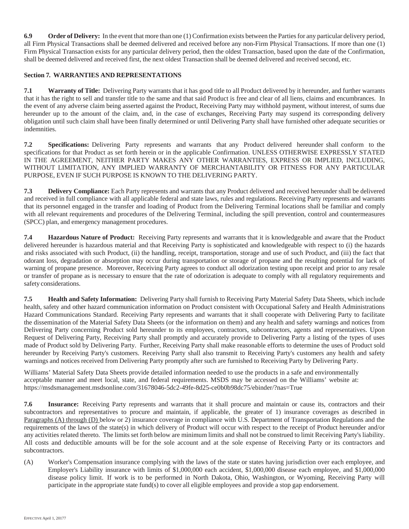**6.9 Order of Delivery:** In the event that more than one (1) Confirmation exists between the Parties for any particular delivery period, all Firm Physical Transactions shall be deemed delivered and received before any non-Firm Physical Transactions. If more than one (1) Firm Physical Transaction exists for any particular delivery period, then the oldest Transaction, based upon the date of the Confirmation, shall be deemed delivered and received first, the next oldest Transaction shall be deemed delivered and received second, etc.

# **Section 7. WARRANTIES AND REPRESENTATIONS**

**7.1 Warranty of Title:** Delivering Party warrants that it has good title to all Product delivered by it hereunder, and further warrants that it has the right to sell and transfer title to the same and that said Product is free and clear of all liens, claims and encumbrances. In the event of any adverse claim being asserted against the Product, Receiving Party may withhold payment, without interest, of sums due hereunder up to the amount of the claim, and, in the case of exchanges, Receiving Party may suspend its corresponding delivery obligation until such claim shall have been finally determined or until Delivering Party shall have furnished other adequate securities or indemnities.

**7.2 Specifications:** Delivering Party represents and warrants that any Product delivered hereunder shall conform to the specifications for that Product as set forth herein or in the applicable Confirmation. UNLESS OTHERWISE EXPRESSLY STATED IN THE AGREEMENT, NEITHER PARTY MAKES ANY OTHER WARRANTIES, EXPRESS OR IMPLIED, INCLUDING, WITHOUT LIMITATION, ANY IMPLIED WARRANTY OF MERCHANTABILITY OR FITNESS FOR ANY PARTICULAR PURPOSE, EVEN IF SUCH PURPOSE IS KNOWN TO THE DELIVERING PARTY.

**7.3 Delivery Compliance:** Each Party represents and warrants that any Product delivered and received hereunder shall be delivered and received in full compliance with all applicable federal and state laws, rules and regulations. Receiving Party represents and warrants that its personnel engaged in the transfer and loading of Product from the Delivering Terminal locations shall be familiar and comply with all relevant requirements and procedures of the Delivering Terminal, including the spill prevention, control and countermeasures (SPCC) plan, and emergency management procedures.

**7.4 Hazardous Nature of Product:** Receiving Party represents and warrants that it is knowledgeable and aware that the Product delivered hereunder is hazardous material and that Receiving Party is sophisticated and knowledgeable with respect to (i) the hazards and risks associated with such Product, (ii) the handling, receipt, transportation, storage and use of such Product, and (iii) the fact that odorant loss, degradation or absorption may occur during transportation or storage of propane and the resulting potential for lack of warning of propane presence. Moreover, Receiving Party agrees to conduct all odorization testing upon receipt and prior to any resale or transfer of propane as is necessary to ensure that the rate of odorization is adequate to comply with all regulatory requirements and safety considerations.

**7.5 Health and Safety Information:** Delivering Party shall furnish to Receiving Party Material Safety Data Sheets, which include health, safety and other hazard communication information on Product consistent with Occupational Safety and Health Administrations Hazard Communications Standard. Receiving Party represents and warrants that it shall cooperate with Delivering Party to facilitate the dissemination of the Material Safety Data Sheets (or the information on them) and any health and safety warnings and notices from Delivering Party concerning Product sold hereunder to its employees, contractors, subcontractors, agents and representatives. Upon Request of Delivering Party, Receiving Party shall promptly and accurately provide to Delivering Party a listing of the types of uses made of Product sold by Delivering Party. Further, Receiving Party shall make reasonable efforts to determine the uses of Product sold hereunder by Receiving Party's customers. Receiving Party shall also transmit to Receiving Party's customers any health and safety warnings and notices received from Delivering Party promptly after such are furnished to Receiving Party by Delivering Party.

Williams' Material Safety Data Sheets provide detailed information needed to use the products in a safe and environmentally acceptable manner and meet local, state, and federal requirements. MSDS may be accessed on the Williams' website at: https://msdsmanagement.msdsonline.com/31678046-5dc2-49fe-8d25-ce0b0b98dc75/ebinder/?nas=True

**7.6 Insurance:** Receiving Party represents and warrants that it shall procure and maintain or cause its, contractors and their subcontractors and representatives to procure and maintain, if applicable, the greater of 1) insurance coverages as described in Paragraphs (A) through (D) below or 2) insurance coverage in compliance with U.S. Department of Transportation Regulations and the requirements of the laws of the state(s) in which delivery of Product will occur with respect to the receipt of Product hereunder and/or any activities related thereto. The limits set forth below are minimum limits and shall not be construed to limit Receiving Party's liability. All costs and deductible amounts will be for the sole account and at the sole expense of Receiving Party or its contractors and subcontractors.

(A) Worker's Compensation insurance complying with the laws of the state or states having jurisdiction over each employee, and Employer's Liability insurance with limits of \$1,000,000 each accident, \$1,000,000 disease each employee, and \$1,000,000 disease policy limit. If work is to be performed in North Dakota, Ohio, Washington, or Wyoming, Receiving Party will participate in the appropriate state fund(s) to cover all eligible employees and provide a stop gap endorsement.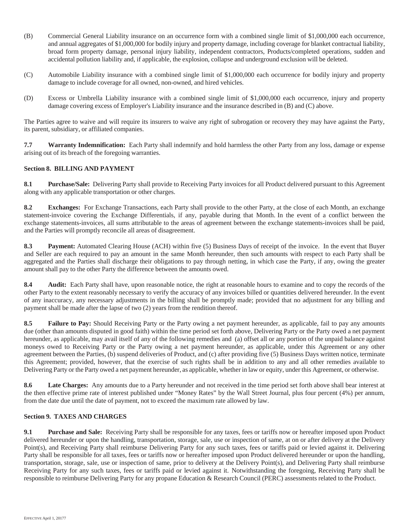- (B) Commercial General Liability insurance on an occurrence form with a combined single limit of \$1,000,000 each occurrence, and annual aggregates of \$1,000,000 for bodily injury and property damage, including coverage for blanket contractual liability, broad form property damage, personal injury liability, independent contractors, Products/completed operations, sudden and accidental pollution liability and, if applicable, the explosion, collapse and underground exclusion will be deleted.
- (C) Automobile Liability insurance with a combined single limit of \$1,000,000 each occurrence for bodily injury and property damage to include coverage for all owned, non-owned, and hired vehicles.
- (D) Excess or Umbrella Liability insurance with a combined single limit of \$1,000,000 each occurrence, injury and property damage covering excess of Employer's Liability insurance and the insurance described in (B) and (C) above.

The Parties agree to waive and will require its insurers to waive any right of subrogation or recovery they may have against the Party, its parent, subsidiary, or affiliated companies.

**7.7 Warranty Indemnification:** Each Party shall indemnify and hold harmless the other Party from any loss, damage or expense arising out of its breach of the foregoing warranties.

# **Section 8. BILLING AND PAYMENT**

**8.1 Purchase/Sale:** Delivering Party shall provide to Receiving Party invoices for all Product delivered pursuant to this Agreement along with any applicable transportation or other charges.

**8.2 Exchanges:** For Exchange Transactions, each Party shall provide to the other Party, at the close of each Month, an exchange statement-invoice covering the Exchange Differentials, if any, payable during that Month. In the event of a conflict between the exchange statements-invoices, all sums attributable to the areas of agreement between the exchange statements-invoices shall be paid, and the Parties will promptly reconcile all areas of disagreement.

**8.3 Payment:** Automated Clearing House (ACH) within five (5) Business Days of receipt of the invoice. In the event that Buyer and Seller are each required to pay an amount in the same Month hereunder, then such amounts with respect to each Party shall be aggregated and the Parties shall discharge their obligations to pay through netting, in which case the Party, if any, owing the greater amount shall pay to the other Party the difference between the amounts owed.

**8.4 Audit:** Each Party shall have, upon reasonable notice, the right at reasonable hours to examine and to copy the records of the other Party to the extent reasonably necessary to verify the accuracy of any invoices billed or quantities delivered hereunder. In the event of any inaccuracy, any necessary adjustments in the billing shall be promptly made; provided that no adjustment for any billing and payment shall be made after the lapse of two (2) years from the rendition thereof.

**8.5 Failure to Pay:** Should Receiving Party or the Party owing a net payment hereunder, as applicable, fail to pay any amounts due (other than amounts disputed in good faith) within the time period set forth above, Delivering Party or the Party owed a net payment hereunder, as applicable, may avail itself of any of the following remedies and (a) offset all or any portion of the unpaid balance against moneys owed to Receiving Party or the Party owing a net payment hereunder, as applicable, under this Agreement or any other agreement between the Parties, (b) suspend deliveries of Product, and (c) after providing five (5) Business Days written notice, terminate this Agreement; provided, however, that the exercise of such rights shall be in addition to any and all other remedies available to Delivering Party or the Party owed a net payment hereunder, as applicable, whether in law or equity, under this Agreement, or otherwise.

**8.6 Late Charges:** Any amounts due to a Party hereunder and not received in the time period set forth above shall bear interest at the then effective prime rate of interest published under "Money Rates" by the Wall Street Journal, plus four percent (4%) per annum, from the date due until the date of payment, not to exceed the maximum rate allowed by law.

# **Section 9. TAXES AND CHARGES**

**9.1 Purchase and Sale:** Receiving Party shall be responsible for any taxes, fees or tariffs now or hereafter imposed upon Product delivered hereunder or upon the handling, transportation, storage, sale, use or inspection of same, at on or after delivery at the Delivery Point(s), and Receiving Party shall reimburse Delivering Party for any such taxes, fees or tariffs paid or levied against it. Delivering Party shall be responsible for all taxes, fees or tariffs now or hereafter imposed upon Product delivered hereunder or upon the handling, transportation, storage, sale, use or inspection of same, prior to delivery at the Delivery Point(s), and Delivering Party shall reimburse Receiving Party for any such taxes, fees or tariffs paid or levied against it. Notwithstanding the foregoing, Receiving Party shall be responsible to reimburse Delivering Party for any propane Education & Research Council (PERC) assessments related to the Product.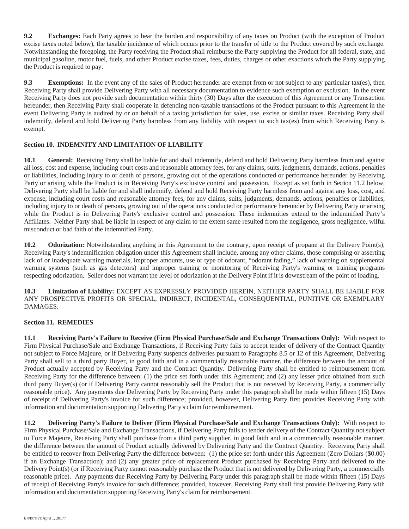**9.2 Exchanges:** Each Party agrees to bear the burden and responsibility of any taxes on Product (with the exception of Product excise taxes noted below), the taxable incidence of which occurs prior to the transfer of title to the Product covered by such exchange. Notwithstanding the foregoing, the Party receiving the Product shall reimburse the Party supplying the Product for all federal, state, and municipal gasoline, motor fuel, fuels, and other Product excise taxes, fees, duties, charges or other exactions which the Party supplying the Product is required to pay.

**9.3 Exemptions:** In the event any of the sales of Product hereunder are exempt from or not subject to any particular tax(es), then Receiving Party shall provide Delivering Party with all necessary documentation to evidence such exemption or exclusion. In the event Receiving Party does not provide such documentation within thirty (30) Days after the execution of this Agreement or any Transaction hereunder, then Receiving Party shall cooperate in defending non-taxable transactions of the Product pursuant to this Agreement in the event Delivering Party is audited by or on behalf of a taxing jurisdiction for sales, use, excise or similar taxes. Receiving Party shall indemnify, defend and hold Delivering Party harmless from any liability with respect to such tax(es) from which Receiving Party is exempt.

# **Section 10. INDEMNITY AND LIMITATION OF LIABILITY**

**10.1 General:** Receiving Party shall be liable for and shall indemnify, defend and hold Delivering Party harmless from and against all loss, cost and expense, including court costs and reasonable attorney fees, for any claims, suits, judgments, demands, actions, penalties or liabilities, including injury to or death of persons, growing out of the operations conducted or performance hereunder by Receiving Party or arising while the Product is in Receiving Party's exclusive control and possession. Except as set forth in Section 11.2 below, Delivering Party shall be liable for and shall indemnify, defend and hold Receiving Party harmless from and against any loss, cost, and expense, including court costs and reasonable attorney fees, for any claims, suits, judgments, demands, actions, penalties or liabilities, including injury to or death of persons, growing out of the operations conducted or performance hereunder by Delivering Party or arising while the Product is in Delivering Party's exclusive control and possession. These indemnities extend to the indemnified Party's Affiliates. Neither Party shall be liable in respect of any claim to the extent same resulted from the negligence, gross negligence, wilful misconduct or bad faith of the indemnified Party.

**10.2 Odorization:** Notwithstanding anything in this Agreement to the contrary, upon receipt of propane at the Delivery Point(s), Receiving Party's indemnification obligation under this Agreement shall include, among any other claims, those comprising or asserting lack of or inadequate warning materials, improper amounts, use or type of odorant, "odorant fading," lack of warning on supplemental warning systems (such as gas detectors) and improper training or monitoring of Receiving Party's warning or training programs respecting odorization. Seller does not warrant the level of odorization at the Delivery Point if it is downstream of the point of loading.

**10.3 Limitation of Liability:** EXCEPT AS EXPRESSLY PROVIDED HEREIN, NEITHER PARTY SHALL BE LIABLE FOR ANY PROSPECTIVE PROFITS OR SPECIAL, INDIRECT, INCIDENTAL, CONSEQUENTIAL, PUNITIVE OR EXEMPLARY DAMAGES.

# **Section 11. REMEDIES**

**11.1 Receiving Party's Failure to Receive (Firm Physical Purchase/Sale and Exchange Transactions Only):** With respect to Firm Physical Purchase/Sale and Exchange Transactions, if Receiving Party fails to accept tender of delivery of the Contract Quantity not subject to Force Majeure, or if Delivering Party suspends deliveries pursuant to Paragraphs 8.5 or 12 of this Agreement, Delivering Party shall sell to a third party Buyer, in good faith and in a commercially reasonable manner, the difference between the amount of Product actually accepted by Receiving Party and the Contract Quantity. Delivering Party shall be entitled to reimbursement from Receiving Party for the difference between: (1) the price set forth under this Agreement; and (2) any lesser price obtained from such third party Buyer(s) (or if Delivering Party cannot reasonably sell the Product that is not received by Receiving Party, a commercially reasonable price). Any payments due Delivering Party by Receiving Party under this paragraph shall be made within fifteen (15) Days of receipt of Delivering Party's invoice for such difference; provided, however, Delivering Party first provides Receiving Party with information and documentation supporting Delivering Party's claim for reimbursement.

**11.2 Delivering Party's Failure to Deliver (Firm Physical Purchase/Sale and Exchange Transactions Only):** With respect to Firm Physical Purchase/Sale and Exchange Transactions, if Delivering Party fails to tender delivery of the Contract Quantity not subject to Force Majeure, Receiving Party shall purchase from a third party supplier, in good faith and in a commercially reasonable manner, the difference between the amount of Product actually delivered by Delivering Party and the Contract Quantity. Receiving Party shall be entitled to recover from Delivering Party the difference between: (1) the price set forth under this Agreement (Zero Dollars (\$0.00) if an Exchange Transaction); and (2) any greater price of replacement Product purchased by Receiving Party and delivered to the Delivery Point(s) (or if Receiving Party cannot reasonably purchase the Product that is not delivered by Delivering Party, a commercially reasonable price). Any payments due Receiving Party by Delivering Party under this paragraph shall be made within fifteen (15) Days of receipt of Receiving Party's invoice for such difference; provided, however, Receiving Party shall first provide Delivering Party with information and documentation supporting Receiving Party's claim for reimbursement.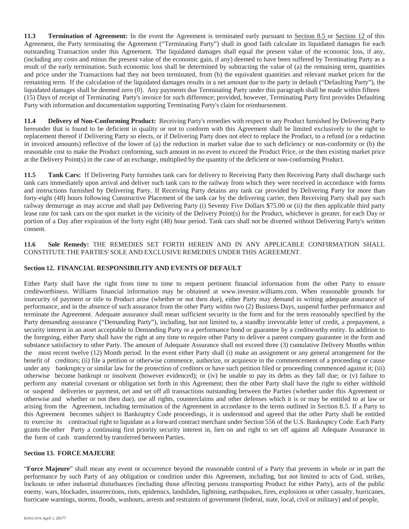**11.3 Termination of Agreement:** In the event the Agreement is terminated early pursuant to Section 8.5 or Section 12 of this Agreement, the Party terminating the Agreement ("Terminating Party") shall in good faith calculate its liquidated damages for each outstanding Transaction under this Agreement. The liquidated damages shall equal the present value of the economic loss, if any, (including any costs and minus the present value of the economic gain, if any) deemed to have been suffered by Terminating Party as a result of the early termination. Such economic loss shall be determined by subtracting the value of (a) the remaining term, quantities and price under the Transactions had they not been terminated, from (b) the equivalent quantities and relevant market prices for the remaining term. If the calculation of the liquidated damages results in a net amount due to the party in default ("Defaulting Party"), the liquidated damages shall be deemed zero (0). Any payments due Terminating Party under this paragraph shall be made within fifteen (15) Days of receipt of Terminating Party's invoice for such difference; provided, however, Terminating Party first provides Defaulting Party with information and documentation supporting Terminating Party's claim for reimbursement.

**11.4 Delivery of Non-Conforming Product:** Receiving Party's remedies with respect to any Product furnished by Delivering Party hereunder that is found to be deficient in quality or not to conform with this Agreement shall be limited exclusively to the right to replacement thereof if Delivering Party so elects, or if Delivering Party does not elect to replace the Product, to a refund (or a reduction in invoiced amounts) reflective of the lower of (a) the reduction in market value due to such deficiency or non-conformity or (b) the reasonable cost to make the Product conforming, such amount in no event to exceed the Product Price, or the then existing market price at the Delivery Point(s) in the case of an exchange, multiplied by the quantity of the deficient or non-conforming Product.

**11.5 Tank Cars:** If Delivering Party furnishes tank cars for delivery to Receiving Party then Receiving Party shall discharge such tank cars immediately upon arrival and deliver such tank cars to the railway from which they were received in accordance with forms and instructions furnished by Delivering Party. If Receiving Party detains any tank car provided by Delivering Party for more than forty-eight (48) hours following Constructive Placement of the tank car by the delivering carrier, then Receiving Party shall pay such railway demurrage as may accrue and shall pay Delivering Party (i) Seventy Five Dollars \$75.00 or (ii) the then applicable third party lease rate for tank cars on the spot market in the vicinity of the Delivery Point(s) for the Product, whichever is greater, for each Day or portion of a Day after expiration of the forty eight (48) hour period. Tank cars shall not be diverted without Delivering Party's written consent.

**11.6 Sole Remedy:** THE REMEDIES SET FORTH HEREIN AND IN ANY APPLICABLE CONFIRMATION SHALL CONSTITUTE THE PARTIES' SOLE AND EXCLUSIVE REMEDIES UNDER THIS AGREEMENT.

# **Section 12. FINANCIAL RESPONSIBILITY AND EVENTS OF DEFAULT**

Either Party shall have the right from time to time to request pertinent financial information from the other Party to ensure creditworthiness. Williams financial information may be obtained at www.investor.williams.com. When reasonable grounds for insecurity of payment or title to Product arise (whether or not then due), either Party may demand in writing adequate assurance of performance, and in the absence of such assurance from the other Party within two (2) Business Days, suspend further performance and terminate the Agreement. Adequate assurance shall mean sufficient security in the form and for the term reasonably specified by the Party demanding assurance ("Demanding Party"), including, but not limited to, a standby irrevocable letter of credit, a prepayment, a security interest in an asset acceptable to Demanding Party or a performance bond or guarantee by a creditworthy entity. In addition to the foregoing, either Party shall have the right at any time to require other Party to deliver a parent company guarantee in the form and substance satisfactory to other Party. The amount of Adequate Assurance shall not exceed three (3) cumulative Delivery Months within the most recent twelve (12) Month period. In the event either Party shall (i) make an assignment or any general arrangement for the benefit of creditors; (ii) file a petition or otherwise commence, authorize, or acquiesce in the commencement of a proceeding or cause under any bankruptcy or similar law for the protection of creditors or have such petition filed or proceeding commenced against it; (iii) otherwise become bankrupt or insolvent (however evidenced); or (iv) be unable to pay its debts as they fall due; or (v) failure to perform any material covenant or obligation set forth in this Agreement; then the other Party shall have the right to either withhold or suspend deliveries or payment, net and set off all transactions outstanding between the Parties (whether under this Agreement or otherwise and whether or not then due), use all rights, counterclaims and other defenses which it is or may be entitled to at law or arising from the Agreement, including termination of the Agreement in accordance to the terms outlined in Section 8.5. If a Party to this Agreement becomes subject to Bankruptcy Code proceedings, it is understood and agreed that the other Party shall be entitled to exercise its contractual right to liquidate as a forward contract merchant under Section 556 of the U.S. Bankruptcy Code. Each Party grants the other Party a continuing first priority security interest in, lien on and right to set off against all Adequate Assurance in the form of cash transferred by transferred between Parties.

# **Section 13. FORCE MAJEURE**

"**Force Majeure**" shall mean any event or occurrence beyond the reasonable control of a Party that prevents in whole or in part the performance by such Party of any obligation or condition under this Agreement, including, but not limited to acts of God, strikes, lockouts or other industrial disturbances (including those affecting persons transporting Product for either Party), acts of the public enemy, wars, blockades, insurrections, riots, epidemics, landslides, lightning, earthquakes, fires, explosions or other casualty, hurricanes, hurricane warnings, storms, floods, washouts, arrests and restraints of government (federal, state, local, civil or military) and of people,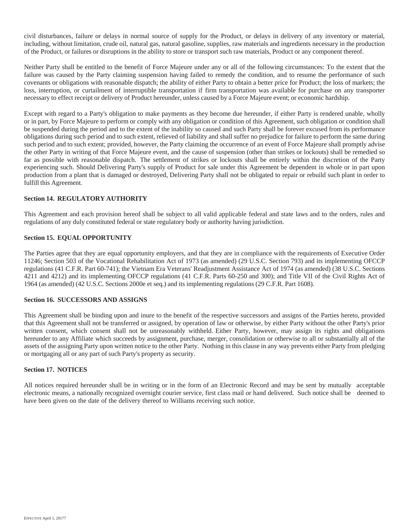civil disturbances, failure or delays in normal source of supply for the Product, or delays in delivery of any inventory or material, including, without limitation, crude oil, natural gas, natural gasoline, supplies, raw materials and ingredients necessary in the production of the Product, or failures or disruptions in the ability to store or transport such raw materials, Product or any component thereof.

Neither Party shall be entitled to the benefit of Force Majeure under any or all of the following circumstances: To the extent that the failure was caused by the Party claiming suspension having failed to remedy the condition, and to resume the performance of such covenants or obligations with reasonable dispatch; the ability of either Party to obtain a better price for Product; the loss of markets; the loss, interruption, or curtailment of interruptible transportation if firm transportation was available for purchase on any transporter necessary to effect receipt or delivery of Product hereunder, unless caused by a Force Majeure event; or economic hardship.

Except with regard to a Party's obligation to make payments as they become due hereunder, if either Party is rendered unable, wholly or in part, by Force Majeure to perform or comply with any obligation or condition of this Agreement, such obligation or condition shall be suspended during the period and to the extent of the inability so caused and such Party shall be forever excused from its performance obligations during such period and to such extent, relieved of liability and shall suffer no prejudice for failure to perform the same during such period and to such extent; provided, however, the Party claiming the occurrence of an event of Force Majeure shall promptly advise the other Party in writing of that Force Majeure event, and the cause of suspension (other than strikes or lockouts) shall be remedied so far as possible with reasonable dispatch. The settlement of strikes or lockouts shall be entirely within the discretion of the Party experiencing such. Should Delivering Party's supply of Product for sale under this Agreement be dependent in whole or in part upon production from a plant that is damaged or destroyed, Delivering Party shall not be obligated to repair or rebuild such plant in order to fulfill this Agreement.

# **Section 14. REGULATORY AUTHORITY**

This Agreement and each provision hereof shall be subject to all valid applicable federal and state laws and to the orders, rules and regulations of any duly constituted federal or state regulatory body or authority having jurisdiction.

# **Section 15. EQUAL OPPORTUNITY**

The Parties agree that they are equal opportunity employers, and that they are in compliance with the requirements of Executive Order 11246; Section 503 of the Vocational Rehabilitation Act of 1973 (as amended) (29 U.S.C. Section 793) and its implementing OFCCP regulations (41 C.F.R. Part 60-741); the Vietnam Era Veterans' Readjustment Assistance Act of 1974 (as amended) (38 U.S.C. Sections 4211 and 4212) and its implementing OFCCP regulations (41 C.F.R. Parts 60-250 and 300); and Title VII of the Civil Rights Act of 1964 (as amended) (42 U.S.C. Sections 2000e et seq.) and its implementing regulations (29 C.F.R. Part 1608).

# **Section 16. SUCCESSORS AND ASSIGNS**

This Agreement shall be binding upon and inure to the benefit of the respective successors and assigns of the Parties hereto, provided that this Agreement shall not be transferred or assigned, by operation of law or otherwise, by either Party without the other Party's prior written consent, which consent shall not be unreasonably withheld. Either Party, however, may assign its rights and obligations hereunder to any Affiliate which succeeds by assignment, purchase, merger, consolidation or otherwise to all or substantially all of the assets of the assigning Party upon written notice to the other Party. Nothing in this clause in any way prevents either Party from pledging or mortgaging all or any part of such Party's property as security.

# **Section 17. NOTICES**

All notices required hereunder shall be in writing or in the form of an Electronic Record and may be sent by mutually acceptable electronic means, a nationally recognized overnight courier service, first class mail or hand delivered. Such notice shall be deemed to have been given on the date of the delivery thereof to Williams receiving such notice.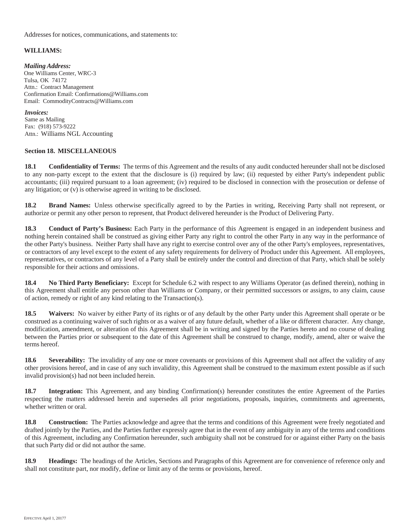Addresses for notices, communications, and statements to:

#### **WILLIAMS:**

*Mailing Address:* One Williams Center, WRC-3 Tulsa, OK 74172 Attn.: Contract Management Confirmation Email: Confirmations@Williams.com Email: CommodityContracts@Williams.com

#### *Invoices:*

Same as Mailing Fax: (918) 573-9222 Attn.: Williams NGL Accounting

#### **Section 18. MISCELLANEOUS**

**18.1 Confidentiality of Terms:** The terms of this Agreement and the results of any audit conducted hereunder shall not be disclosed to any non-party except to the extent that the disclosure is (i) required by law; (ii) requested by either Party's independent public accountants; (iii) required pursuant to a loan agreement; (iv) required to be disclosed in connection with the prosecution or defense of any litigation; or (v) is otherwise agreed in writing to be disclosed.

**18.2 Brand Names:** Unless otherwise specifically agreed to by the Parties in writing, Receiving Party shall not represent, or authorize or permit any other person to represent, that Product delivered hereunder is the Product of Delivering Party.

**18.3 Conduct of Party's Business:** Each Party in the performance of this Agreement is engaged in an independent business and nothing herein contained shall be construed as giving either Party any right to control the other Party in any way in the performance of the other Party's business. Neither Party shall have any right to exercise control over any of the other Party's employees, representatives, or contractors of any level except to the extent of any safety requirements for delivery of Product under this Agreement. All employees, representatives, or contractors of any level of a Party shall be entirely under the control and direction of that Party, which shall be solely responsible for their actions and omissions.

**18.4 No Third Party Beneficiary:** Except for Schedule 6.2 with respect to any Williams Operator (as defined therein), nothing in this Agreement shall entitle any person other than Williams or Company, or their permitted successors or assigns, to any claim, cause of action, remedy or right of any kind relating to the Transaction(s).

**18.5 Waivers:** No waiver by either Party of its rights or of any default by the other Party under this Agreement shall operate or be construed as a continuing waiver of such rights or as a waiver of any future default, whether of a like or different character. Any change, modification, amendment, or alteration of this Agreement shall be in writing and signed by the Parties hereto and no course of dealing between the Parties prior or subsequent to the date of this Agreement shall be construed to change, modify, amend, alter or waive the terms hereof.

**18.6 Severability:** The invalidity of any one or more covenants or provisions of this Agreement shall not affect the validity of any other provisions hereof, and in case of any such invalidity, this Agreement shall be construed to the maximum extent possible as if such invalid provision(s) had not been included herein.

**18.7 Integration:** This Agreement, and any binding Confirmation(s) hereunder constitutes the entire Agreement of the Parties respecting the matters addressed herein and supersedes all prior negotiations, proposals, inquiries, commitments and agreements, whether written or oral.

**18.8 Construction:** The Parties acknowledge and agree that the terms and conditions of this Agreement were freely negotiated and drafted jointly by the Parties, and the Parties further expressly agree that in the event of any ambiguity in any of the terms and conditions of this Agreement, including any Confirmation hereunder, such ambiguity shall not be construed for or against either Party on the basis that such Party did or did not author the same.

**18.9 Headings:** The headings of the Articles, Sections and Paragraphs of this Agreement are for convenience of reference only and shall not constitute part, nor modify, define or limit any of the terms or provisions, hereof.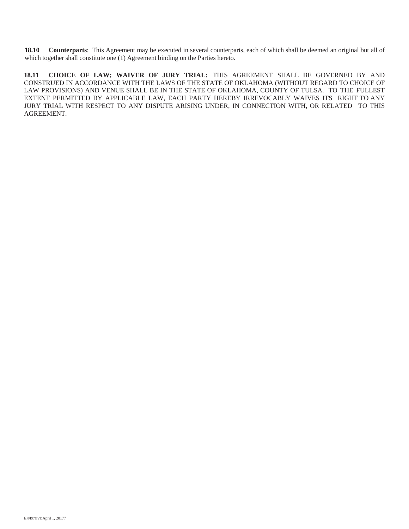**18.10 Counterparts**: This Agreement may be executed in several counterparts, each of which shall be deemed an original but all of which together shall constitute one (1) Agreement binding on the Parties hereto.

**18.11 CHOICE OF LAW; WAIVER OF JURY TRIAL:** THIS AGREEMENT SHALL BE GOVERNED BY AND CONSTRUED IN ACCORDANCE WITH THE LAWS OF THE STATE OF OKLAHOMA (WITHOUT REGARD TO CHOICE OF LAW PROVISIONS) AND VENUE SHALL BE IN THE STATE OF OKLAHOMA, COUNTY OF TULSA. TO THE FULLEST EXTENT PERMITTED BY APPLICABLE LAW, EACH PARTY HEREBY IRREVOCABLY WAIVES ITS RIGHT TO ANY JURY TRIAL WITH RESPECT TO ANY DISPUTE ARISING UNDER, IN CONNECTION WITH, OR RELATED TO THIS AGREEMENT.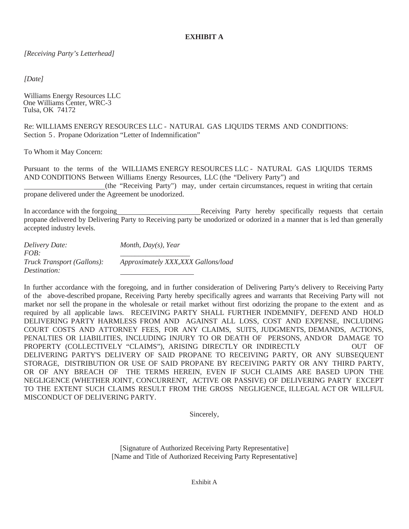*[Receiving Party's Letterhead]*

*[Date]*

Williams Energy Resources LLC One Williams Center, WRC-3 Tulsa, OK 74172

Re: WILLIAMS ENERGY RESOURCES LLC - NATURAL GAS LIQUIDS TERMS AND CONDITIONS: Section 5 . Propane Odorization "Letter of Indemnification"

To Whom it May Concern:

Pursuant to the terms of the WILLIAMS ENERGY RESOURCES LLC - NATURAL GAS LIQUIDS TERMS AND CONDITIONS Between Williams Energy Resources, LLC (the "Delivery Party") and

(the "Receiving Party") may, under certain circumstances, request in writing that certain propane delivered under the Agreement be unodorized.

In accordance with the forgoing Term Receiving Party hereby specifically requests that certain propane delivered by Delivering Party to Receiving party be unodorized or odorized in a manner that is led than generally accepted industry levels.

| Delivery Date:             | Month, $Day(s)$ , Year              |
|----------------------------|-------------------------------------|
| FOB:                       |                                     |
| Truck Transport (Gallons): | Approximately XXX, XXX Gallons/load |
| <i>Destination:</i>        |                                     |

In further accordance with the foregoing, and in further consideration of Delivering Party's delivery to Receiving Party of the above-described propane, Receiving Party hereby specifically agrees and warrants that Receiving Party will not market nor sell the propane in the wholesale or retail market without first odorizing the propane to the extent and as required by all applicable laws. RECEIVING PARTY SHALL FURTHER INDEMNIFY, DEFEND AND HOLD DELIVERING PARTY HARMLESS FROM AND AGAINST ALL LOSS, COST AND EXPENSE, INCLUDING COURT COSTS AND ATTORNEY FEES, FOR ANY CLAIMS, SUITS, JUDGMENTS, DEMANDS, ACTIONS, PENALTIES OR LIABILITIES, INCLUDING INJURY TO OR DEATH OF PERSONS, AND/OR DAMAGE TO PROPERTY (COLLECTIVELY "CLAIMS"), ARISING DIRECTLY OR INDIRECTLY OUT OF DELIVERING PARTY'S DELIVERY OF SAID PROPANE TO RECEIVING PARTY, OR ANY SUBSEQUENT STORAGE, DISTRIBUTION OR USE OF SAID PROPANE BY RECEIVING PARTY OR ANY THIRD PARTY, OR OF ANY BREACH OF THE TERMS HEREIN, EVEN IF SUCH CLAIMS ARE BASED UPON THE NEGLIGENCE (WHETHER JOINT, CONCURRENT, ACTIVE OR PASSIVE) OF DELIVERING PARTY EXCEPT TO THE EXTENT SUCH CLAIMS RESULT FROM THE GROSS NEGLIGENCE, ILLEGAL ACT OR WILLFUL MISCONDUCT OF DELIVERING PARTY.

Sincerely,

[Signature of Authorized Receiving Party Representative] [Name and Title of Authorized Receiving Party Representative]